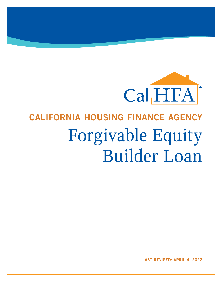

# CALIFORNIA HOUSING FINANCE AGENCY Forgivable Equity Builder Loan

LAST REVISED: APRIL 4, 2022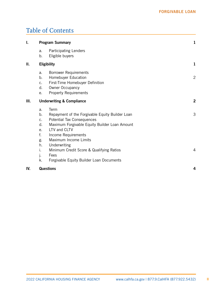# Table of Contents

| I.  | <b>Program Summary</b>                                   |                                                                                                                                                                                                                                                                            |  | $\mathbf{1}$        |
|-----|----------------------------------------------------------|----------------------------------------------------------------------------------------------------------------------------------------------------------------------------------------------------------------------------------------------------------------------------|--|---------------------|
|     | a.<br>b.                                                 | Participating Lenders<br>Eligible buyers                                                                                                                                                                                                                                   |  |                     |
| П.  | <b>Eligibility</b>                                       |                                                                                                                                                                                                                                                                            |  | 1                   |
|     | a.<br>b.<br>c.<br>d.<br>е.                               | <b>Borrower Requirements</b><br>Homebuyer Education<br>First-Time Homebuyer Definition<br>Owner Occupancy<br><b>Property Requirements</b>                                                                                                                                  |  | $\overline{2}$      |
| Ш.  | <b>Underwriting &amp; Compliance</b>                     |                                                                                                                                                                                                                                                                            |  | $\overline{2}$      |
|     | a.<br>b.<br>c.<br>d.<br>e.<br>f.<br>g.<br>h.<br>i.<br>j. | Term<br>Repayment of the Forgivable Equity Builder Loan<br>Potential Tax Consequences<br>Maximum Forgivable Equity Builder Loan Amount<br>LTV and CLTV<br>Income Requirements<br>Maximum Income Limits<br>Underwriting<br>Minimum Credit Score & Qualifying Ratios<br>Fees |  | 3<br>$\overline{4}$ |
|     | k.                                                       | Forgivable Equity Builder Loan Documents                                                                                                                                                                                                                                   |  |                     |
| IV. |                                                          | <b>Questions</b>                                                                                                                                                                                                                                                           |  | 4                   |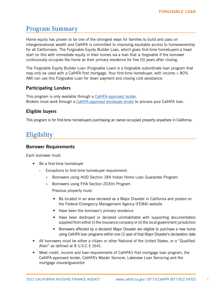# <span id="page-2-0"></span>Program Summary

Home equity has proven to be one of the strongest ways for families to build and pass on intergenerational wealth and CalHFA is committed to improving equitable access to homeownership for all Californians. The Forgivable Equity Builder Loan, which gives first-time homebuyers a head start on this with immediate equity in their homes via a loan that is forgivable if the borrower continuously occupies the home as their primary residence for five (5) years after closing.

The Forgivable Equity Builder Loan (Forgivable Loan) is a forgivable subordinate loan program that may only be used with a CalHFA first mortgage. Your first-time homebuyer, with income < 80% AMI can use this Forgivable Loan for down payment and closing cost assistance.

## Participating Lenders

This program is only available through a [CalHFA-approved lender](http://www.calhfa.ca.gov/apps/approvedlenders/). Brokers must work through a [CalHFA-approved wholesale lender](http://www.calhfa.ca.gov/homeownership/brokers.htm) to process your CalHFA loan.

## Eligible buyers

This program is for first-time homebuyers purchasing an owner-occupied property anywhere in California.

# **Eligibility**

#### Borrower Requirements

Each borrower must:

- Be a first-time homebuyer
	- › Exceptions to first-time homebuyer requirement:
		- » Borrowers using HUD Section 184 Indian Home Loan Guarantee Program
		- » Borrowers using FHA Section 203(h) Program Previous property must:
			- Be located in an area declared as a Major Disaster in California and posted on the Federal Emergency Management Agency (FEMA) website
			- Have been the borrower's primary residence
			- Have been destroyed or declared uninhabitable with supporting documentation supplied from either (i) the insurance company or (ii) the local government jurisdiction
			- Borrowers affected by a declared Major Disaster are eligible to purchase a new home using CalHFA loan programs within one (1) year of that Major Disaster's declaration date
- All borrowers must be either a citizen or other National of the United States, or a "Qualified Alien" as defined at 8 U.S.C § 1641.
- Meet credit, income and loan requirements of CalHFA's first mortgage loan program, the CalHFA-approved lender, CalHFA's Master Servicer, Lakeview Loan Servicing and the mortgage insurer/guarantor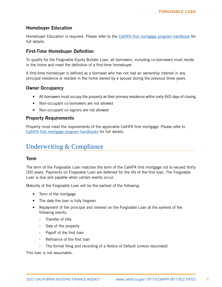# <span id="page-3-0"></span>Homebuyer Education

Homebuyer Education is required. Please refer to the [CalHFA first mortgage program handbook](http://www.calhfa.ca.gov/homeownership/programs/index.htm) for full details.

### First-Time Homebuyer Definition

To qualify for the Forgivable Equity Builder Loan, all borrowers, including co-borrowers must reside in the home and meet the definition of a first-time homebuyer.

A first-time homebuyer is defined as a borrower who has not had an ownership interest in any principal residence or resided in the home owned by a spouse during the previous three years.

## Owner Occupancy

- All borrowers must occupy the property as their primary residence within sixty (60) days of closing
- Non-occupant co-borrowers are not allowed
- Non-occupant co-signors are not allowed

## Property Requirements

Property must meet the requirements of the applicable CalHFA first mortgage. Please refer to [CalHFA first mortgage program handbooks](http://www.calhfa.ca.gov/homeownership/programs/index.htm) for full details.

# Underwriting & Compliance

#### Term

The term of the Forgivable Loan matches the term of the CalHFA first mortgage not to exceed thirty (30) years. Payments on Forgivable Loan are deferred for the life of the first loan. The Forgivable Loan is due and payable when certain events occur.

Maturity of the Forgivable Loan will be the earliest of the following:

- Term of the mortgage
- The date the loan is fully forgiven
- Repayment of the principal and interest on the Forgivable Loan at the earliest of the following events:
	- › Transfer of title
	- › Sale of the property
	- › Payoff of the first loan
	- › Refinance of the first loan
	- › The formal filing and recording of a Notice of Default (unless rescinded)

This loan is not assumable.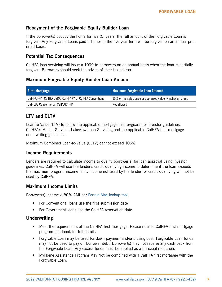# <span id="page-4-0"></span>Repayment of the Forgivable Equity Builder Loan

If the borrower(s) occupy the home for five (5) years, the full amount of the Forgivable Loan is forgiven. Any Forgivable Loans paid off prior to the five-year term will be forgiven on an annual prorated basis.

## Potential Tax Consequences

CalHFA loan servicing will issue a 1099 to borrowers on an annual basis when the loan is partially forgiven. Borrowers should seek the advice of their tax advisor.

# Maximum Forgivable Equity Builder Loan Amount

| <b>First Mortgage</b>                                     | <b>Maximum Forgivable Loan Amount</b>                        |  |
|-----------------------------------------------------------|--------------------------------------------------------------|--|
| CalHFA FHA, CalHFA USDA, CalHFA VA or CalHFA Conventional | 10% of the sales price or appraised value, whichever is less |  |
| <b>CalPLUS Conventional, CalPLUS FHA</b>                  | Not allowed                                                  |  |

# LTV and CLTV

Loan-to-Value (LTV) to follow the applicable mortgage insurer/guarantor investor guidelines, CalHFA's Master Servicer, Lakeview Loan Servicing and the applicable CalHFA first mortgage underwriting guidelines.

Maximum Combined Loan-to-Value (CLTV) cannot exceed 105%.

#### Income Requirements

Lenders are required to calculate income to qualify borrower(s) for loan approval using investor guidelines. CalHFA will use the lender's credit qualifying income to determine if the loan exceeds the maximum program income limit. Income not used by the lender for credit qualifying will not be used by CalHFA.

#### Maximum Income Limits

Borrower(s) income  $\leq$  80% AMI per [Fannie Mae lookup tool](https://ami-lookup-tool.fanniemae.com/amilookuptool/)

- For Conventional loans use the first submission date
- For Government loans use the CalHFA reservation date

#### Underwriting

- Meet the requirements of the CalHFA first mortgage. Please refer to CalHFA first mortgage program handbook for full details
- Forgivable Loan may be used for down payment and/or closing cost. Forgivable Loan funds may not be used to pay off borrower debt. Borrower(s) may not receive any cash back from the Forgivable Loan. Any excess funds must be applied as a principal reduction.
- MyHome Assistance Program May Not be combined with a CalHFA first mortgage with the Forgivable Loan.